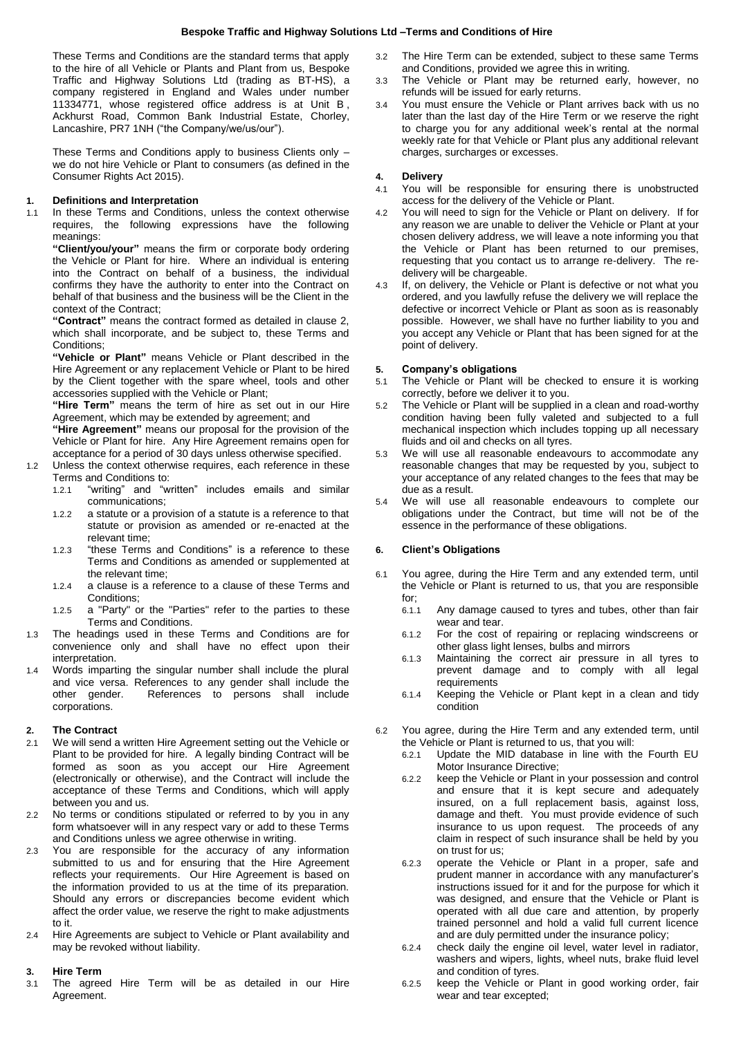These Terms and Conditions are the standard terms that apply to the hire of all Vehicle or Plants and Plant from us, Bespoke Traffic and Highway Solutions Ltd (trading as BT-HS), a company registered in England and Wales under number 11334771, whose registered office address is at Unit B , Ackhurst Road, Common Bank Industrial Estate, Chorley, Lancashire, PR7 1NH ("the Company/we/us/our").

These Terms and Conditions apply to business Clients only – we do not hire Vehicle or Plant to consumers (as defined in the Consumer Rights Act 2015).

#### **1. Definitions and Interpretation**

1.1 In these Terms and Conditions, unless the context otherwise requires, the following expressions have the following meanings:

**"Client/you/your"** means the firm or corporate body ordering the Vehicle or Plant for hire. Where an individual is entering into the Contract on behalf of a business, the individual confirms they have the authority to enter into the Contract on behalf of that business and the business will be the Client in the context of the Contract;

**"Contract"** means the contract formed as detailed in clause 2, which shall incorporate, and be subject to, these Terms and Conditions;

**"Vehicle or Plant"** means Vehicle or Plant described in the Hire Agreement or any replacement Vehicle or Plant to be hired by the Client together with the spare wheel, tools and other accessories supplied with the Vehicle or Plant;

**"Hire Term"** means the term of hire as set out in our Hire Agreement, which may be extended by agreement; and

**"Hire Agreement"** means our proposal for the provision of the Vehicle or Plant for hire. Any Hire Agreement remains open for acceptance for a period of 30 days unless otherwise specified.

- 1.2 Unless the context otherwise requires, each reference in these Terms and Conditions to:<br>1.2.1 "writing" and "w
	- "writing" and "written" includes emails and similar communications;
	- 1.2.2 a statute or a provision of a statute is a reference to that statute or provision as amended or re-enacted at the relevant time;
	- 1.2.3 "these Terms and Conditions" is a reference to these Terms and Conditions as amended or supplemented at the relevant time;
	- 1.2.4 a clause is a reference to a clause of these Terms and Conditions;
	- 1.2.5 a "Party" or the "Parties" refer to the parties to these Terms and Conditions.
- 1.3 The headings used in these Terms and Conditions are for convenience only and shall have no effect upon their interpretation.
- 1.4 Words imparting the singular number shall include the plural and vice versa. References to any gender shall include the other gender. References to persons shall include corporations.

### **2. The Contract**

- 2.1 We will send a written Hire Agreement setting out the Vehicle or Plant to be provided for hire. A legally binding Contract will be formed as soon as you accept our Hire Agreement (electronically or otherwise), and the Contract will include the acceptance of these Terms and Conditions, which will apply between you and us.
- 2.2 No terms or conditions stipulated or referred to by you in any form whatsoever will in any respect vary or add to these Terms and Conditions unless we agree otherwise in writing.
- 2.3 You are responsible for the accuracy of any information submitted to us and for ensuring that the Hire Agreement reflects your requirements. Our Hire Agreement is based on the information provided to us at the time of its preparation. Should any errors or discrepancies become evident which affect the order value, we reserve the right to make adjustments to it.
- 2.4 Hire Agreements are subject to Vehicle or Plant availability and may be revoked without liability.

# **3. Hire Term**

3.1 The agreed Hire Term will be as detailed in our Hire Agreement.

- 3.2 The Hire Term can be extended, subject to these same Terms and Conditions, provided we agree this in writing.
- 3.3 The Vehicle or Plant may be returned early, however, no refunds will be issued for early returns.
- 3.4 You must ensure the Vehicle or Plant arrives back with us no later than the last day of the Hire Term or we reserve the right to charge you for any additional week's rental at the normal weekly rate for that Vehicle or Plant plus any additional relevant charges, surcharges or excesses.

#### **4. Delivery**

- 4.1 You will be responsible for ensuring there is unobstructed access for the delivery of the Vehicle or Plant.
- 4.2 You will need to sign for the Vehicle or Plant on delivery. If for any reason we are unable to deliver the Vehicle or Plant at your chosen delivery address, we will leave a note informing you that the Vehicle or Plant has been returned to our premises, requesting that you contact us to arrange re-delivery. The redelivery will be chargeable.
- 4.3 If, on delivery, the Vehicle or Plant is defective or not what you ordered, and you lawfully refuse the delivery we will replace the defective or incorrect Vehicle or Plant as soon as is reasonably possible. However, we shall have no further liability to you and you accept any Vehicle or Plant that has been signed for at the point of delivery.

#### **5. Company's obligations**

- 5.1 The Vehicle or Plant will be checked to ensure it is working correctly, before we deliver it to you.
- 5.2 The Vehicle or Plant will be supplied in a clean and road-worthy condition having been fully valeted and subjected to a full mechanical inspection which includes topping up all necessary fluids and oil and checks on all tyres.
- 5.3 We will use all reasonable endeavours to accommodate any reasonable changes that may be requested by you, subject to your acceptance of any related changes to the fees that may be due as a result.
- 5.4 We will use all reasonable endeavours to complete our obligations under the Contract, but time will not be of the essence in the performance of these obligations.

## **6. Client's Obligations**

- 6.1 You agree, during the Hire Term and any extended term, until the Vehicle or Plant is returned to us, that you are responsible for;
	- 6.1.1 Any damage caused to tyres and tubes, other than fair wear and tear.
	- 6.1.2 For the cost of repairing or replacing windscreens or other glass light lenses, bulbs and mirrors
	- 6.1.3 Maintaining the correct air pressure in all tyres to prevent damage and to comply with all legal requirements
	- 6.1.4 Keeping the Vehicle or Plant kept in a clean and tidy condition
- 6.2 You agree, during the Hire Term and any extended term, until the Vehicle or Plant is returned to us, that you will:
	- 6.2.1 Update the MID database in line with the Fourth EU Motor Insurance Directive;
	- 6.2.2 keep the Vehicle or Plant in your possession and control and ensure that it is kept secure and adequately insured, on a full replacement basis, against loss, damage and theft. You must provide evidence of such insurance to us upon request. The proceeds of any claim in respect of such insurance shall be held by you on trust for us;
	- 6.2.3 operate the Vehicle or Plant in a proper, safe and prudent manner in accordance with any manufacturer's instructions issued for it and for the purpose for which it was designed, and ensure that the Vehicle or Plant is operated with all due care and attention, by properly trained personnel and hold a valid full current licence and are duly permitted under the insurance policy;
	- 6.2.4 check daily the engine oil level, water level in radiator, washers and wipers, lights, wheel nuts, brake fluid level and condition of tyres.
	- 6.2.5 keep the Vehicle or Plant in good working order, fair wear and tear excepted;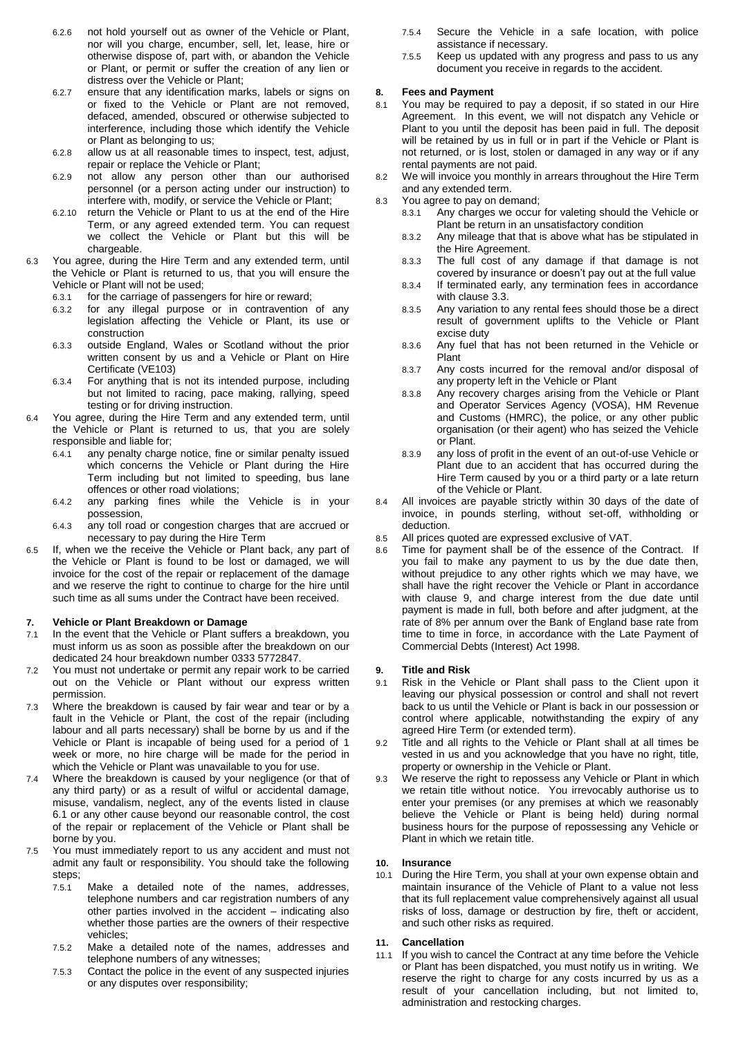- 6.2.6 not hold yourself out as owner of the Vehicle or Plant, nor will you charge, encumber, sell, let, lease, hire or otherwise dispose of, part with, or abandon the Vehicle or Plant, or permit or suffer the creation of any lien or distress over the Vehicle or Plant;
- 6.2.7 ensure that any identification marks, labels or signs on or fixed to the Vehicle or Plant are not removed, defaced, amended, obscured or otherwise subjected to interference, including those which identify the Vehicle or Plant as belonging to us;
- 6.2.8 allow us at all reasonable times to inspect, test, adjust, repair or replace the Vehicle or Plant;
- 6.2.9 not allow any person other than our authorised personnel (or a person acting under our instruction) to interfere with, modify, or service the Vehicle or Plant;
- 6.2.10 return the Vehicle or Plant to us at the end of the Hire Term, or any agreed extended term. You can request we collect the Vehicle or Plant but this will be chargeable.
- 6.3 You agree, during the Hire Term and any extended term, until the Vehicle or Plant is returned to us, that you will ensure the Vehicle or Plant will not be used;
	- 6.3.1 for the carriage of passengers for hire or reward;
	- 6.3.2 for any illegal purpose or in contravention of any legislation affecting the Vehicle or Plant, its use or construction
	- 6.3.3 outside England, Wales or Scotland without the prior written consent by us and a Vehicle or Plant on Hire Certificate (VE103)
	- 6.3.4 For anything that is not its intended purpose, including but not limited to racing, pace making, rallying, speed testing or for driving instruction.
- 6.4 You agree, during the Hire Term and any extended term, until the Vehicle or Plant is returned to us, that you are solely responsible and liable for;
	- 6.4.1 any penalty charge notice, fine or similar penalty issued which concerns the Vehicle or Plant during the Hire Term including but not limited to speeding, bus lane offences or other road violations;
	- 6.4.2 any parking fines while the Vehicle is in your possession,
	- 6.4.3 any toll road or congestion charges that are accrued or necessary to pay during the Hire Term
- 6.5 If, when we the receive the Vehicle or Plant back, any part of the Vehicle or Plant is found to be lost or damaged, we will invoice for the cost of the repair or replacement of the damage and we reserve the right to continue to charge for the hire until such time as all sums under the Contract have been received.

#### **7. Vehicle or Plant Breakdown or Damage**

- 7.1 In the event that the Vehicle or Plant suffers a breakdown, you must inform us as soon as possible after the breakdown on our dedicated 24 hour breakdown number 0333 5772847.
- 7.2 You must not undertake or permit any repair work to be carried out on the Vehicle or Plant without our express written permission.
- 7.3 Where the breakdown is caused by fair wear and tear or by a fault in the Vehicle or Plant, the cost of the repair (including labour and all parts necessary) shall be borne by us and if the Vehicle or Plant is incapable of being used for a period of 1 week or more, no hire charge will be made for the period in which the Vehicle or Plant was unavailable to you for use.
- 7.4 Where the breakdown is caused by your negligence (or that of any third party) or as a result of wilful or accidental damage, misuse, vandalism, neglect, any of the events listed in clause 6.1 or any other cause beyond our reasonable control, the cost of the repair or replacement of the Vehicle or Plant shall be borne by you.
- 7.5 You must immediately report to us any accident and must not admit any fault or responsibility. You should take the following steps:
	- 7.5.1 Make a detailed note of the names, addresses, telephone numbers and car registration numbers of any other parties involved in the accident – indicating also whether those parties are the owners of their respective vehicles;
	- 7.5.2 Make a detailed note of the names, addresses and telephone numbers of any witnesses;
	- 7.5.3 Contact the police in the event of any suspected injuries or any disputes over responsibility;
- 7.5.4 Secure the Vehicle in a safe location, with police assistance if necessary.
- 7.5.5 Keep us updated with any progress and pass to us any document you receive in regards to the accident.

# **8. Fees and Payment**

- You may be required to pay a deposit, if so stated in our Hire Agreement. In this event, we will not dispatch any Vehicle or Plant to you until the deposit has been paid in full. The deposit will be retained by us in full or in part if the Vehicle or Plant is not returned, or is lost, stolen or damaged in any way or if any rental payments are not paid.
- 8.2 We will invoice you monthly in arrears throughout the Hire Term and any extended term.
- 8.3 You agree to pay on demand;
	- 8.3.1 Any charges we occur for valeting should the Vehicle or Plant be return in an unsatisfactory condition
	- 8.3.2 Any mileage that that is above what has be stipulated in the Hire Agreement.
	- 8.3.3 The full cost of any damage if that damage is not covered by insurance or doesn't pay out at the full value
	- 8.3.4 If terminated early, any termination fees in accordance with clause 3.3.
	- 8.3.5 Any variation to any rental fees should those be a direct result of government uplifts to the Vehicle or Plant excise duty
	- 8.3.6 Any fuel that has not been returned in the Vehicle or Plant
	- 8.3.7 Any costs incurred for the removal and/or disposal of any property left in the Vehicle or Plant
	- 8.3.8 Any recovery charges arising from the Vehicle or Plant and Operator Services Agency (VOSA), HM Revenue and Customs (HMRC), the police, or any other public organisation (or their agent) who has seized the Vehicle or Plant.
	- 8.3.9 any loss of profit in the event of an out-of-use Vehicle or Plant due to an accident that has occurred during the Hire Term caused by you or a third party or a late return of the Vehicle or Plant.
- 8.4 All invoices are payable strictly within 30 days of the date of invoice, in pounds sterling, without set-off, withholding or deduction.
- 8.5 All prices quoted are expressed exclusive of VAT.
- 8.6 Time for payment shall be of the essence of the Contract. If you fail to make any payment to us by the due date then, without prejudice to any other rights which we may have, we shall have the right recover the Vehicle or Plant in accordance with clause 9, and charge interest from the due date until payment is made in full, both before and after judgment, at the rate of 8% per annum over the Bank of England base rate from time to time in force, in accordance with the Late Payment of Commercial Debts (Interest) Act 1998.

#### **9. Title and Risk**

- 9.1 Risk in the Vehicle or Plant shall pass to the Client upon it leaving our physical possession or control and shall not revert back to us until the Vehicle or Plant is back in our possession or control where applicable, notwithstanding the expiry of any agreed Hire Term (or extended term).
- Title and all rights to the Vehicle or Plant shall at all times be vested in us and you acknowledge that you have no right, title, property or ownership in the Vehicle or Plant.
- 9.3 We reserve the right to repossess any Vehicle or Plant in which we retain title without notice. You irrevocably authorise us to enter your premises (or any premises at which we reasonably believe the Vehicle or Plant is being held) during normal business hours for the purpose of repossessing any Vehicle or Plant in which we retain title.

#### **10. Insurance**

10.1 During the Hire Term, you shall at your own expense obtain and maintain insurance of the Vehicle of Plant to a value not less that its full replacement value comprehensively against all usual risks of loss, damage or destruction by fire, theft or accident, and such other risks as required.

#### **11. Cancellation**

11.1 If you wish to cancel the Contract at any time before the Vehicle or Plant has been dispatched, you must notify us in writing. We reserve the right to charge for any costs incurred by us as a result of your cancellation including, but not limited to, administration and restocking charges.